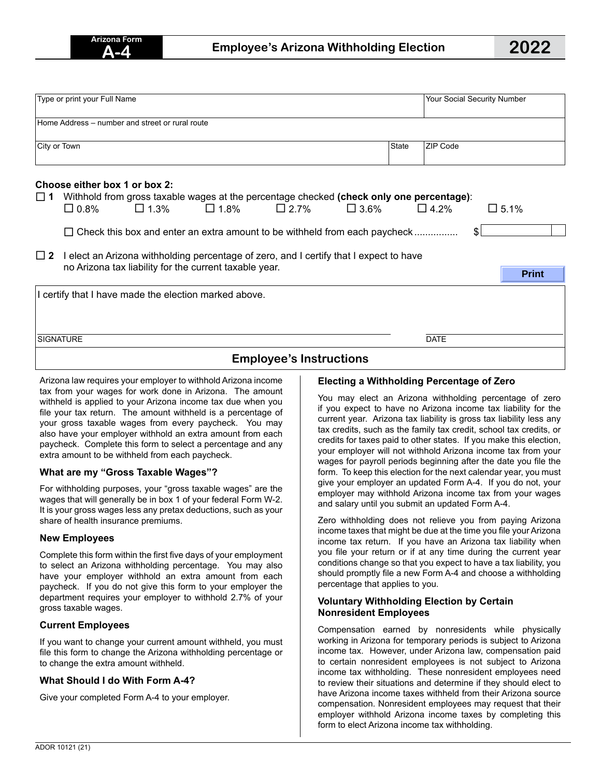**Print**

| Type or print your Full Name                    |                                                                                          |  |       |                 | Your Social Security Number |
|-------------------------------------------------|------------------------------------------------------------------------------------------|--|-------|-----------------|-----------------------------|
| Home Address – number and street or rural route |                                                                                          |  |       |                 |                             |
| City or Town                                    |                                                                                          |  | State | <b>ZIP Code</b> |                             |
|                                                 |                                                                                          |  |       |                 |                             |
| Choose either box 1 or box 2:                   | Withhold from gross taxable wages at the percentage checked (check only one percentage): |  |       |                 |                             |

| $\Box$ 2 I elect an Arizona withholding percentage of zero, and I certify that I expect to have |  |
|-------------------------------------------------------------------------------------------------|--|
| no Arizona tax liability for the current taxable year.                                          |  |

| I certify that I have made the election marked above. |             |  |  |  |  |
|-------------------------------------------------------|-------------|--|--|--|--|
| <b>SIGNATURE</b>                                      | <b>DATE</b> |  |  |  |  |
| <b>Employee's Instructions</b>                        |             |  |  |  |  |

Arizona law requires your employer to withhold Arizona income tax from your wages for work done in Arizona. The amount withheld is applied to your Arizona income tax due when you file your tax return. The amount withheld is a percentage of your gross taxable wages from every paycheck. You may also have your employer withhold an extra amount from each paycheck. Complete this form to select a percentage and any extra amount to be withheld from each paycheck.

# **What are my "Gross Taxable Wages"?**

For withholding purposes, your "gross taxable wages" are the wages that will generally be in box 1 of your federal Form W-2. It is your gross wages less any pretax deductions, such as your share of health insurance premiums.

#### **New Employees**

Complete this form within the first five days of your employment to select an Arizona withholding percentage. You may also have your employer withhold an extra amount from each paycheck. If you do not give this form to your employer the department requires your employer to withhold 2.7% of your gross taxable wages.

# **Current Employees**

If you want to change your current amount withheld, you must file this form to change the Arizona withholding percentage or to change the extra amount withheld.

# **What Should I do With Form A-4?**

Give your completed Form A-4 to your employer.

# **Electing a Withholding Percentage of Zero**

You may elect an Arizona withholding percentage of zero if you expect to have no Arizona income tax liability for the current year. Arizona tax liability is gross tax liability less any tax credits, such as the family tax credit, school tax credits, or credits for taxes paid to other states. If you make this election, your employer will not withhold Arizona income tax from your wages for payroll periods beginning after the date you file the form. To keep this election for the next calendar year, you must give your employer an updated Form A-4. If you do not, your employer may withhold Arizona income tax from your wages and salary until you submit an updated Form A-4.

Zero withholding does not relieve you from paying Arizona income taxes that might be due at the time you file your Arizona income tax return. If you have an Arizona tax liability when you file your return or if at any time during the current year conditions change so that you expect to have a tax liability, you should promptly file a new Form A-4 and choose a withholding percentage that applies to you.

#### **Voluntary Withholding Election by Certain Nonresident Employees**

Compensation earned by nonresidents while physically working in Arizona for temporary periods is subject to Arizona income tax. However, under Arizona law, compensation paid to certain nonresident employees is not subject to Arizona income tax withholding. These nonresident employees need to review their situations and determine if they should elect to have Arizona income taxes withheld from their Arizona source compensation. Nonresident employees may request that their employer withhold Arizona income taxes by completing this form to elect Arizona income tax withholding.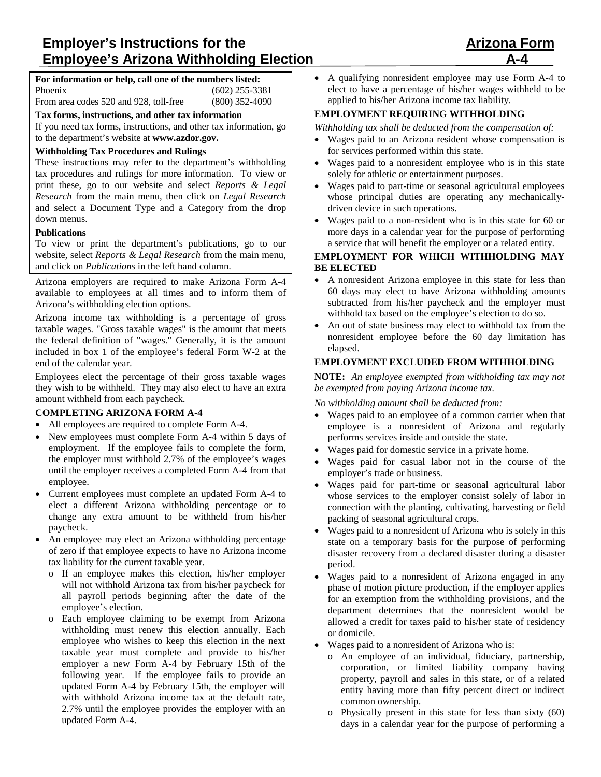# **Employer's Instructions for the Arizona Form Employee's Arizona Withholding Election**

#### **For information or help, call one of the numbers listed:** Phoenix (602) 255-3381<br>From area codes 520 and 928, toll-free (800) 352-4090 From area codes 520 and 928, toll-free

**Tax forms, instructions, and other tax information**

If you need tax forms, instructions, and other tax information, go to the department's website at **www.azdor.gov.** 

## **Withholding Tax Procedures and Rulings**

These instructions may refer to the department's withholding tax procedures and rulings for more information. To view or print these, go to our website and select *Reports & Legal Research* from the main menu, then click on *Legal Research* and select a Document Type and a Category from the drop down menus.

#### **Publications**

To view or print the department's publications, go to our website, select *Reports & Legal Research* from the main menu, and click on *Publications* in the left hand column.

Arizona employers are required to make Arizona Form A-4 available to employees at all times and to inform them of Arizona's withholding election options.

Arizona income tax withholding is a percentage of gross taxable wages. "Gross taxable wages" is the amount that meets the federal definition of "wages." Generally, it is the amount included in box 1 of the employee's federal Form W-2 at the end of the calendar year.

Employees elect the percentage of their gross taxable wages they wish to be withheld. They may also elect to have an extra amount withheld from each paycheck.

# **COMPLETING ARIZONA FORM A-4**

- All employees are required to complete Form A-4.
- New employees must complete Form A-4 within 5 days of employment. If the employee fails to complete the form, the employer must withhold 2.7% of the employee's wages until the employer receives a completed Form A-4 from that employee.
- Current employees must complete an updated Form A-4 to elect a different Arizona withholding percentage or to change any extra amount to be withheld from his/her paycheck.
- An employee may elect an Arizona withholding percentage of zero if that employee expects to have no Arizona income tax liability for the current taxable year.
	- o If an employee makes this election, his/her employer will not withhold Arizona tax from his/her paycheck for all payroll periods beginning after the date of the employee's election.
	- Each employee claiming to be exempt from Arizona withholding must renew this election annually. Each employee who wishes to keep this election in the next taxable year must complete and provide to his/her employer a new Form A-4 by February 15th of the following year. If the employee fails to provide an updated Form A-4 by February 15th, the employer will with withhold Arizona income tax at the default rate, 2.7% until the employee provides the employer with an updated Form A-4.

• A qualifying nonresident employee may use Form A-4 to elect to have a percentage of his/her wages withheld to be applied to his/her Arizona income tax liability.

# **EMPLOYMENT REQUIRING WITHHOLDING**

*Withholding tax shall be deducted from the compensation of:*

- Wages paid to an Arizona resident whose compensation is for services performed within this state.
- Wages paid to a nonresident employee who is in this state solely for athletic or entertainment purposes.
- Wages paid to part-time or seasonal agricultural employees whose principal duties are operating any mechanicallydriven device in such operations.
- Wages paid to a non-resident who is in this state for 60 or more days in a calendar year for the purpose of performing a service that will benefit the employer or a related entity.

# **EMPLOYMENT FOR WHICH WITHHOLDING MAY BE ELECTED**

- A nonresident Arizona employee in this state for less than 60 days may elect to have Arizona withholding amounts subtracted from his/her paycheck and the employer must withhold tax based on the employee's election to do so.
- An out of state business may elect to withhold tax from the nonresident employee before the 60 day limitation has elapsed.

# **EMPLOYMENT EXCLUDED FROM WITHHOLDING**

**NOTE:** *An employee exempted from withholding tax may not be exempted from paying Arizona income tax.*

*No withholding amount shall be deducted from:*

- Wages paid to an employee of a common carrier when that employee is a nonresident of Arizona and regularly performs services inside and outside the state.
- Wages paid for domestic service in a private home.
- Wages paid for casual labor not in the course of the employer's trade or business.
- Wages paid for part-time or seasonal agricultural labor whose services to the employer consist solely of labor in connection with the planting, cultivating, harvesting or field packing of seasonal agricultural crops.
- Wages paid to a nonresident of Arizona who is solely in this state on a temporary basis for the purpose of performing disaster recovery from a declared disaster during a disaster period.
- Wages paid to a nonresident of Arizona engaged in any phase of motion picture production, if the employer applies for an exemption from the withholding provisions, and the department determines that the nonresident would be allowed a credit for taxes paid to his/her state of residency or domicile.
- Wages paid to a nonresident of Arizona who is:
	- o An employee of an individual, fiduciary, partnership, corporation, or limited liability company having property, payroll and sales in this state, or of a related entity having more than fifty percent direct or indirect common ownership.
	- o Physically present in this state for less than sixty (60) days in a calendar year for the purpose of performing a